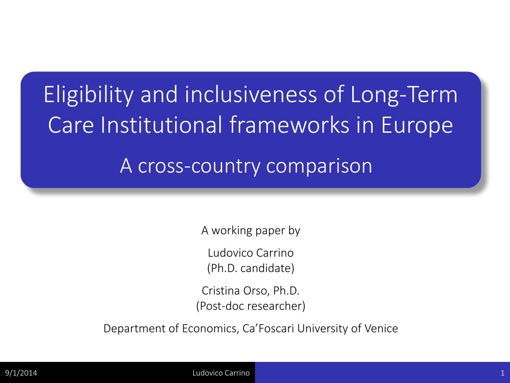## Eligibility and inclusiveness of Long-Term Care Institutional frameworks in Europe A cross-country comparison

A working paper by

Ludovico Carrino

(Ph.D. candidate)

Cristina Orso, Ph.D. (Post-doc researcher)

Department of Economics, Ca'Foscari University of Venice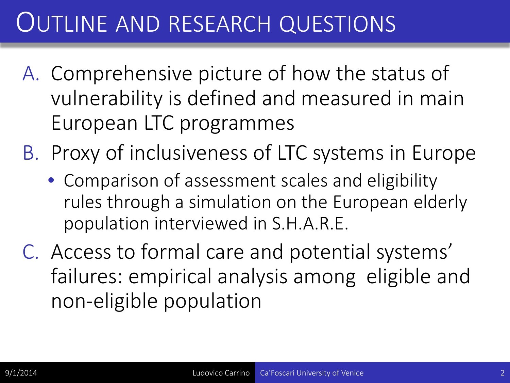### OUTLINE AND RESEARCH QUESTIONS

- A. Comprehensive picture of how the status of vulnerability is defined and measured in main European LTC programmes
- B. Proxy of inclusiveness of LTC systems in Europe
	- Comparison of assessment scales and eligibility rules through a simulation on the European elderly population interviewed in S.H.A.R.E.
- C. Access to formal care and potential systems' failures: empirical analysis among eligible and non-eligible population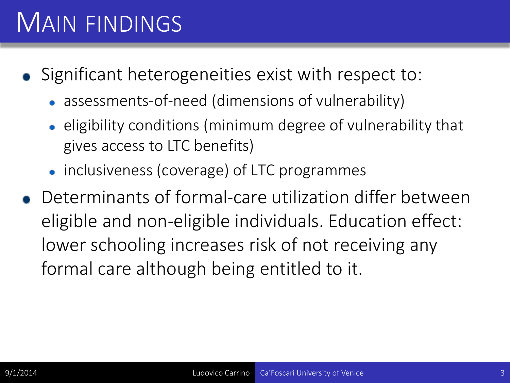## MAIN FINDINGS

- Significant heterogeneities exist with respect to:
	- assessments-of-need (dimensions of vulnerability)
	- eligibility conditions (minimum degree of vulnerability that gives access to LTC benefits)
	- inclusiveness (coverage) of LTC programmes
- Determinants of formal-care utilization differ between eligible and non-eligible individuals. Education effect: lower schooling increases risk of not receiving any formal care although being entitled to it.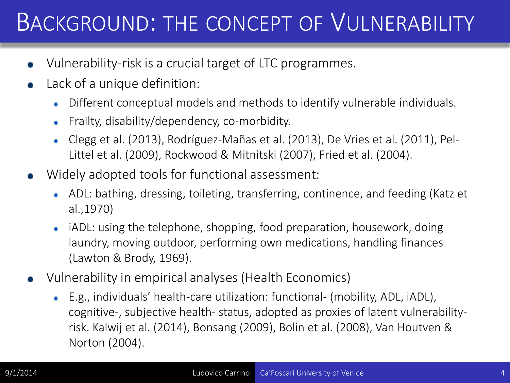### BACKGROUND: THE CONCEPT OF VULNERABILITY

- Vulnerability-risk is a crucial target of LTC programmes.
- Lack of a unique definition:
	- Different conceptual models and methods to identify vulnerable individuals.
	- Frailty, disability/dependency, co-morbidity.
	- Clegg et al. (2013), Rodríguez-Mañas et al. (2013), De Vries et al. (2011), Pel-Littel et al. (2009), Rockwood & Mitnitski (2007), Fried et al. (2004).
- Widely adopted tools for functional assessment:
	- ADL: bathing, dressing, toileting, transferring, continence, and feeding (Katz et al.,1970)
	- iADL: using the telephone, shopping, food preparation, housework, doing laundry, moving outdoor, performing own medications, handling finances (Lawton & Brody, 1969).
- Vulnerability in empirical analyses (Health Economics)
	- E.g., individuals' health-care utilization: functional- (mobility, ADL, iADL), cognitive-, subjective health- status, adopted as proxies of latent vulnerabilityrisk. Kalwij et al. (2014), Bonsang (2009), Bolin et al. (2008), Van Houtven & Norton (2004).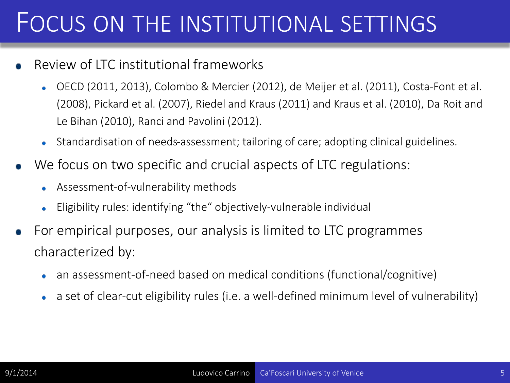### FOCUS ON THE INSTITUTIONAL SETTINGS

- Review of LTC institutional frameworks
	- OECD (2011, 2013), Colombo & Mercier (2012), de Meijer et al. (2011), Costa-Font et al. (2008), Pickard et al. (2007), Riedel and Kraus (2011) and Kraus et al. (2010), Da Roit and Le Bihan (2010), Ranci and Pavolini (2012).
	- Standardisation of needs-assessment; tailoring of care; adopting clinical guidelines.
- We focus on two specific and crucial aspects of LTC regulations:
	- Assessment-of-vulnerability methods
	- Eligibility rules: identifying "the" objectively-vulnerable individual
- For empirical purposes, our analysis is limited to LTC programmes characterized by:
	- an assessment-of-need based on medical conditions (functional/cognitive)
	- a set of clear-cut eligibility rules (i.e. a well-defined minimum level of vulnerability)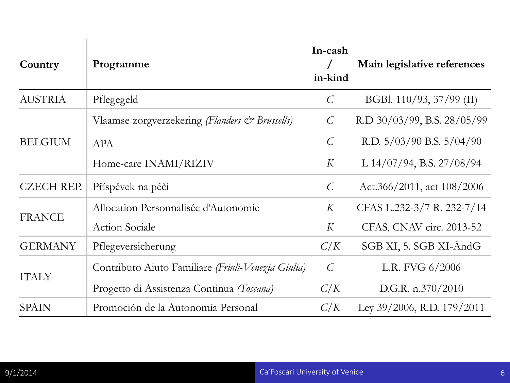| Country           | Programme                                          | In-cash<br>in-kind | Main legislative references      |
|-------------------|----------------------------------------------------|--------------------|----------------------------------|
| <b>AUSTRIA</b>    | Pflegegeld                                         | $\mathcal{C}_{0}$  | BGBl. 110/93, 37/99 (II)         |
|                   | Vlaamse zorgverzekering (Flanders & Brussells)     | $\mathcal{C}$      | R.D $30/03/99$ , B.S. $28/05/99$ |
| <b>BELGIUM</b>    | <b>APA</b>                                         | $\mathcal{C}$      | R.D. $5/03/90$ B.S. $5/04/90$    |
|                   | Home-care INAMI/RIZIV                              | K                  | L $14/07/94$ , B.S. $27/08/94$   |
| <b>CZECH REP.</b> | Příspěvek na péči                                  | $\mathcal{C}$      | Act.366/2011, act $108/2006$     |
|                   | Allocation Personnalisée d'Autonomie               | K                  | CFAS L.232-3/7 R. 232-7/14       |
| <b>FRANCE</b>     | <b>Action Sociale</b>                              | K                  | CFAS, CNAV circ. 2013-52         |
| <b>GERMANY</b>    | Pflegeversicherung                                 | C/K                | SGB XI, 5. SGB XI-AndG           |
| <b>ITALY</b>      | Contributo Aiuto Familiare (Friuli-Venezia Giulia) | $\mathcal{C}$      | L.R. FVG $6/2006$                |
|                   | Progetto di Assistenza Continua (Toscana)          | C/K                | D.G.R. $n.370/2010$              |
| <b>SPAIN</b>      | Promoción de la Autonomía Personal                 | C/K                | Ley 39/2006, R.D. 179/2011       |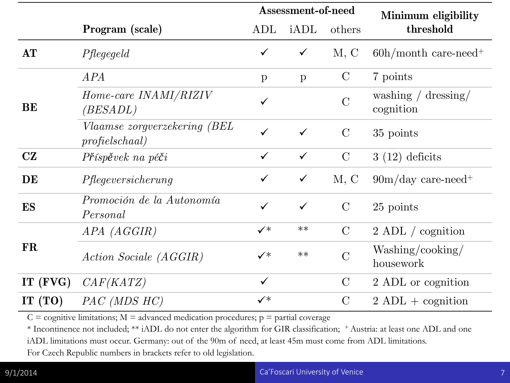|            |                                                        |                | Assessment-of-need |                | Minimum eligibility                                |
|------------|--------------------------------------------------------|----------------|--------------------|----------------|----------------------------------------------------|
|            | Program (scale)                                        | $\mathrm{ADL}$ | iADL               | others         | threshold                                          |
| AT         | Pflegegeld                                             | $\checkmark$   | $\checkmark$       | M, C           | $60h/morth$ care-need <sup>+</sup>                 |
|            | APA                                                    | $\mathbf{p}$   | $\mathbf{p}$       | $\mathcal{C}$  | 7 points                                           |
| <b>BE</b>  | Home-care INAMI/RIZIV<br><i>(BESADL)</i>               | $\checkmark$   |                    | $\overline{C}$ | washing $/$ dressing $/$<br>cognition              |
|            | <i>Vlaamse zorgverzekering (BEL</i><br>profieldschaal) | $\checkmark$   | $\checkmark$       | $\rm C$        | 35 points                                          |
| CZ         | Příspěvek na péči                                      | $\checkmark$   | $\checkmark$       | $\mathcal{C}$  | $3(12)$ deficits                                   |
| DE         | Pflegeversicherung                                     | $\checkmark$   | $\checkmark$       | M, C           | $90\mathrm{m}/\mathrm{day}$ care-need <sup>+</sup> |
| <b>ES</b>  | Promoción de la Autonomía<br>Personal                  | $\checkmark$   | $\checkmark$       | $\mathcal{C}$  | 25 points                                          |
|            | APA (AGGIR)                                            | $\checkmark^*$ | $**$               | $\mathcal{C}$  | $2$ ADL / cognition                                |
| <b>FR</b>  | <i>Action Sociale (AGGIR)</i>                          | $\checkmark^*$ | $**$               | $\overline{C}$ | Washing/cooking/<br>housework                      |
| IT $(FVG)$ | CAF(KATZ)                                              | $\checkmark$   |                    | $\mathcal{C}$  | 2 ADL or cognition                                 |
| IT $(TO)$  | $PAC$ (MDS $HC$ )                                      | $\checkmark^*$ |                    | $\mathcal{C}$  | $2 \text{ ADL} + \text{cognition}$                 |

 $C =$  cognitive limitations;  $M =$  advanced medication procedures;  $p =$  partial coverage

\* Incontinence not included; \*\* iADL do not enter the algorithm for GIR classification; + Austria: at least one ADL and one iADL limitations must occur. Germany: out of the 90m of need, at least 45m must come from ADL limitations.

For Czech Republic numbers in brackets refer to old legislation.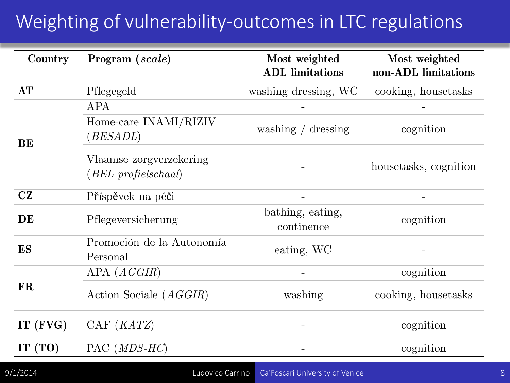### Weighting of vulnerability-outcomes in LTC regulations

| Country    | Program (scale)                                     | Most weighted<br><b>ADL</b> limitations | Most weighted<br>non-ADL limitations |
|------------|-----------------------------------------------------|-----------------------------------------|--------------------------------------|
| AT         | Pflegegeld                                          | washing dressing, WC                    | cooking, housetasks                  |
|            | APA                                                 |                                         |                                      |
| <b>BE</b>  | Home-care INAMI/RIZIV<br>(BESADL)                   | washing $/$ dressing                    | cognition                            |
|            | Vlaamse zorgverzekering<br>$(BEL\; profilelschaal)$ |                                         | housetasks, cognition                |
| CZ         | Příspěvek na péči                                   |                                         |                                      |
| DE         | Pflegeversicherung                                  | bathing, eating,<br>continence          | cognition                            |
| <b>ES</b>  | Promoción de la Autonomía<br>Personal               | eating, WC                              |                                      |
|            | APA(AGGIR)                                          |                                         | cognition                            |
| <b>FR</b>  | Action Sociale (AGGIR)                              | washing                                 | cooking, housetasks                  |
| IT $(FVG)$ | $\text{CAF }(KATZ)$                                 |                                         | cognition                            |
| IT $(TO)$  | $PAC$ ( <i>MDS-HC</i> )                             |                                         | cognition                            |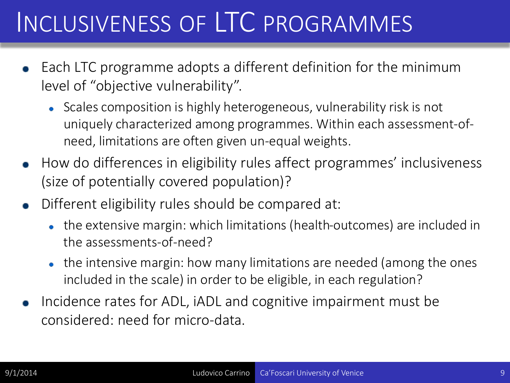### INCLUSIVENESS OF LTC PROGRAMMES

- Each LTC programme adopts a different definition for the minimum level of "objective vulnerability".
	- Scales composition is highly heterogeneous, vulnerability risk is not uniquely characterized among programmes. Within each assessment-ofneed, limitations are often given un-equal weights.
- How do differences in eligibility rules affect programmes' inclusiveness (size of potentially covered population)?
- Different eligibility rules should be compared at:
	- the extensive margin: which limitations (health-outcomes) are included in the assessments-of-need?
	- the intensive margin: how many limitations are needed (among the ones included in the scale) in order to be eligible, in each regulation?
- Incidence rates for ADL, iADL and cognitive impairment must be considered: need for micro-data.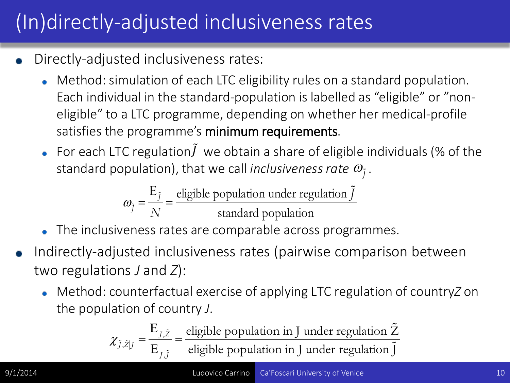### (In)directly-adjusted inclusiveness rates

- Directly-adjusted inclusiveness rates:
	- Method: simulation of each LTC eligibility rules on a standard population. Each individual in the standard-population is labelled as "eligible" or "noneligible" to a LTC programme, depending on whether her medical-profile satisfies the programme's minimum requirements.
	- For each LTC regulation $\tilde{J}$  we obtain a share of eligible individuals (% of the standard population), that we call *inclusiveness rate*  $\omega_{\tilde{I}}$ .

$$
\omega_{\tilde{j}} = \frac{E_{\tilde{j}}}{N} = \frac{\text{eligible population under regulation } \tilde{j}}{\text{standard population}}
$$

- The inclusiveness rates are comparable across programmes.
- Indirectly-adjusted inclusiveness rates (pairwise comparison between two regulations *J* and *Z*):
	- **Method: counterfactual exercise of applying LTC regulation of countryZ on** the population of country *J*.

$$
\chi_{\tilde{j},\tilde{z}|J} = \frac{E_{J,\tilde{Z}}}{E_{J,\tilde{J}}} = \frac{\text{eligible population in J under regulation } \tilde{Z}}{\text{eligible population in J under regulation } \tilde{J}}
$$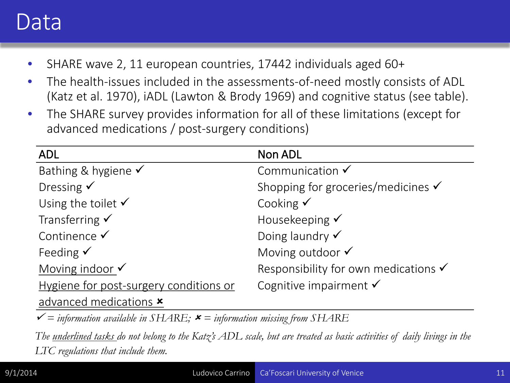### Data

- SHARE wave 2, 11 european countries, 17442 individuals aged 60+
- The health-issues included in the assessments-of-need mostly consists of ADL (Katz et al. 1970), iADL (Lawton & Brody 1969) and cognitive status (see table).
- The SHARE survey provides information for all of these limitations (except for advanced medications / post-surgery conditions)

| <b>ADL</b>                             | Non ADL                                         |
|----------------------------------------|-------------------------------------------------|
| Bathing & hygiene $\checkmark$         | Communication $\checkmark$                      |
| Dressing $\checkmark$                  | Shopping for groceries/medicines $\checkmark$   |
| Using the toilet $\checkmark$          | Cooking $\checkmark$                            |
| Transferring $\checkmark$              | Housekeeping $\checkmark$                       |
| Continence $\checkmark$                | Doing laundry $\checkmark$                      |
| Feeding $\checkmark$                   | Moving outdoor V                                |
| Moving indoor $\checkmark$             | Responsibility for own medications $\checkmark$ |
| Hygiene for post-surgery conditions or | Cognitive impairment $\checkmark$               |
| advanced medications <b>x</b>          |                                                 |

 $\checkmark$  = *information available in SHARE;*  $\checkmark$  = *information missing from SHARE* 

*The underlined tasks do not belong to the Katz's ADL scale, but are treated as basic activities of daily livings in the LTC regulations that include them.*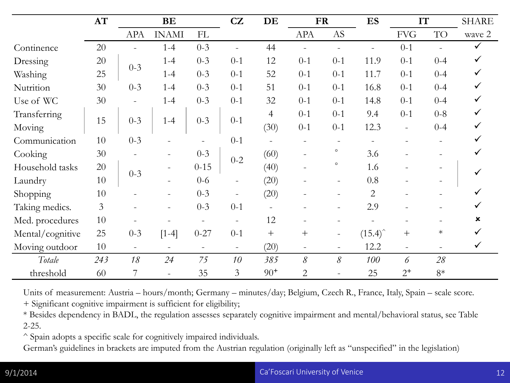|                  | AT             |                          | BE                       |                          | CZ                       | DE             |                | <b>FR</b>                | ES                 |                          | IT        | <b>SHARE</b> |
|------------------|----------------|--------------------------|--------------------------|--------------------------|--------------------------|----------------|----------------|--------------------------|--------------------|--------------------------|-----------|--------------|
|                  |                | <b>APA</b>               | <b>INAMI</b>             | FL                       |                          |                | <b>APA</b>     | $\mathbf{A}\mathbf{S}$   |                    | <b>FVG</b>               | <b>TO</b> | wave 2       |
| Continence       | 20             |                          | $1 - 4$                  | $0 - 3$                  | $\blacksquare$           | 44             |                |                          |                    | $0 - 1$                  |           |              |
| Dressing         | 20             | $0 - 3$                  | $1 - 4$                  | $0 - 3$                  | $0-1$                    | 12             | $0 - 1$        | $0 - 1$                  | 11.9               | $0 - 1$                  | $0 - 4$   |              |
| Washing          | 25             |                          | $1 - 4$                  | $0 - 3$                  | $0-1$                    | 52             | $0 - 1$        | $0 - 1$                  | 11.7               | $0 - 1$                  | $0 - 4$   |              |
| Nutrition        | 30             | $0 - 3$                  | $1 - 4$                  | $0 - 3$                  | $0 - 1$                  | 51             | $0 - 1$        | $0 - 1$                  | 16.8               | $0 - 1$                  | $0 - 4$   |              |
| Use of WC        | 30             | $\overline{\phantom{0}}$ | $1 - 4$                  | $0 - 3$                  | $0 - 1$                  | 32             | $0 - 1$        | $0 - 1$                  | 14.8               | $0 - 1$                  | $0 - 4$   |              |
| Transferring     |                |                          |                          |                          |                          | $\overline{4}$ | $0 - 1$        | $0 - 1$                  | 9.4                | $0 - 1$                  | $0 - 8$   |              |
| Moving           | 15             | $0 - 3$                  | $1 - 4$                  | $0 - 3$                  | $0 - 1$                  | (30)           | $0 - 1$        | $0 - 1$                  | 12.3               | $\overline{\phantom{a}}$ | $0 - 4$   |              |
| Communication    | 10             | $0 - 3$                  |                          |                          | $0 - 1$                  |                |                |                          |                    |                          |           |              |
| Cooking          | 30             |                          |                          | $0 - 3$                  | $0 - 2$                  | (60)           |                | $\circ$                  | 3.6                |                          |           |              |
| Household tasks  | 20             |                          |                          | $0 - 15$                 |                          | (40)           |                | $\circ$                  | 1.6                |                          |           |              |
| Laundry          | 10             | $0 - 3$                  |                          | $0 - 6$                  |                          | (20)           |                |                          | 0.8                |                          |           |              |
| Shopping         | 10             |                          |                          | $0 - 3$                  | $\overline{\phantom{a}}$ | (20)           |                | $\qquad \qquad -$        | $\overline{2}$     |                          |           |              |
| Taking medics.   | $\overline{3}$ |                          | $\equiv$                 | $0 - 3$                  | $0 - 1$                  |                |                | $\overline{\phantom{0}}$ | 2.9                |                          |           |              |
| Med. procedures  | 10             |                          |                          | $\overline{\phantom{a}}$ | $\overline{\phantom{a}}$ | 12             |                |                          |                    |                          |           |              |
| Mental/cognitive | 25             | $0 - 3$                  | $[1-4]$                  | $0 - 27$                 | $0 - 1$                  | $^{+}$         | $^{+}$         | $\overline{\phantom{a}}$ | $(15.4)^{\hat{ }}$ | $\hspace{0.1mm} +$       | $\ast$    |              |
| Moving outdoor   | 10             | $\overline{\phantom{a}}$ | $\overline{\phantom{a}}$ | $\blacksquare$           | $\overline{\phantom{a}}$ | (20)           |                | $-$                      | 12.2               |                          |           | ✓            |
| Totale           | 243            | 18                       | 24                       | 75                       | 10                       | 385            | $\mathcal S$   | $\mathcal S$             | 100                | 6                        | 28        |              |
| threshold        | 60             | 7                        |                          | 35                       | 3                        | $90+$          | $\overline{2}$ |                          | 25                 | $2^+$                    | $8*$      |              |

Units of measurement: Austria – hours/month; Germany – minutes/day; Belgium, Czech R., France, Italy, Spain – scale score.

+ Significant cognitive impairment is sufficient for eligibility;

\* Besides dependency in BADL, the regulation assesses separately cognitive impairment and mental/behavioral status, see Table 2-25.

^ Spain adopts a specific scale for cognitively impaired individuals.

German's guidelines in brackets are imputed from the Austrian regulation (originally left as "unspecified" in the legislation)

#### 9/1/2014 Ca'Foscari University of Venice 12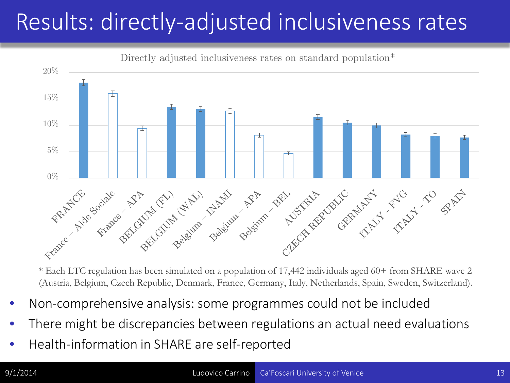### Results: directly-adjusted inclusiveness rates



Directly adjusted inclusiveness rates on standard population<sup>\*</sup>

\* Each LTC regulation has been simulated on a population of 17,442 individuals aged 60+ from SHARE wave 2 (Austria, Belgium, Czech Republic, Denmark, France, Germany, Italy, Netherlands, Spain, Sweden, Switzerland).

- Non-comprehensive analysis: some programmes could not be included
- There might be discrepancies between regulations an actual need evaluations
- Health-information in SHARE are self-reported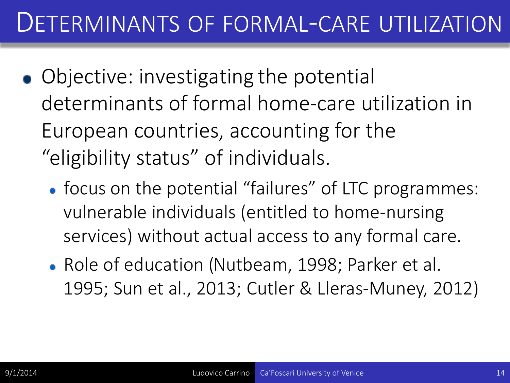### DETERMINANTS OF FORMAL-CARE UTILIZATION

- Objective: investigating the potential determinants of formal home-care utilization in European countries, accounting for the "eligibility status" of individuals.
	- focus on the potential "failures" of LTC programmes: vulnerable individuals (entitled to home-nursing services) without actual access to any formal care.
	- Role of education (Nutbeam, 1998; Parker et al. 1995; Sun et al., 2013; Cutler & Lleras-Muney, 2012)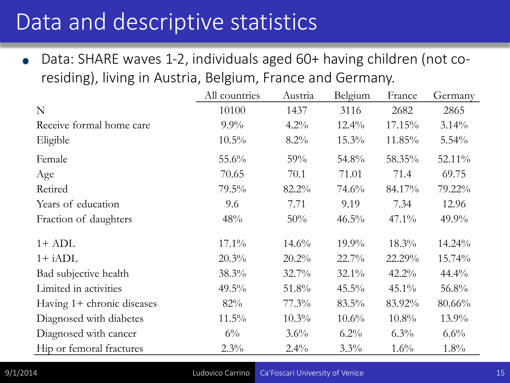### Data and descriptive statistics

Data: SHARE waves 1-2, individuals aged 60+ having children (not co- $\bullet$ residing), living in Austria, Belgium, France and Germany.

|                            | All countries | Austria  | Belgium  | France   | Germany   |
|----------------------------|---------------|----------|----------|----------|-----------|
| N                          | 10100         | 1437     | 3116     | 2682     | 2865      |
| Receive formal home care   | $9.9\%$       | $4.2\%$  | $12.4\%$ | 17.15%   | $3.14\%$  |
| Eligible                   | $10.5\%$      | $8.2\%$  | $15.3\%$ | 11.85%   | $5.54\%$  |
| Female                     | $55.6\%$      | 59%      | 54.8%    | 58.35%   | 52.11%    |
| Age                        | 70.65         | 70.1     | 71.01    | 71.4     | 69.75     |
| Retired                    | $79.5\%$      | 82.2%    | $74.6\%$ | 84.17%   | 79.22%    |
| Years of education         | 9.6           | 7.71     | 9.19     | 7.34     | 12.96     |
| Fraction of daughters      | 48%           | 50%      | $46.5\%$ | $47.1\%$ | $49.9\%$  |
| $1+$ ADL                   | $17.1\%$      | $14.6\%$ | $19.9\%$ | $18.3\%$ | $14.24\%$ |
| $1+$ iADL                  | $20.3\%$      | $20.2\%$ | $22.7\%$ | 22.29%   | $15.74\%$ |
| Bad subjective health      | $38.3\%$      | $32.7\%$ | $32.1\%$ | $42.2\%$ | $44.4\%$  |
| Limited in activities      | $49.5\%$      | 51.8%    | $45.5\%$ | $45.1\%$ | 56.8%     |
| Having 1+ chronic diseases | 82%           | $77.3\%$ | $83.5\%$ | 83.92%   | 80.66%    |
| Diagnosed with diabetes    | $11.5\%$      | $10.3\%$ | $10.6\%$ | $10.8\%$ | $13.9\%$  |
| Diagnosed with cancer      | $6\%$         | $3.6\%$  | $6.2\%$  | $6.3\%$  | $6.6\%$   |
| Hip or femoral fractures   | $2.3\%$       | $2.4\%$  | $3.3\%$  | $1.6\%$  | $1.8\%$   |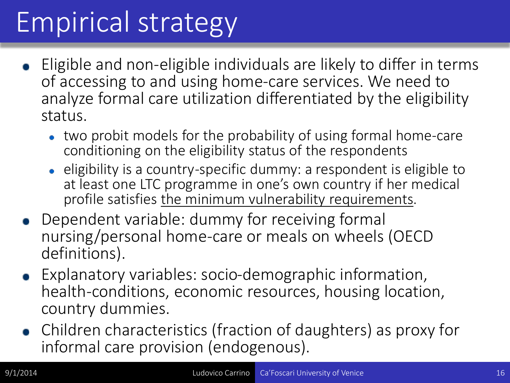## Empirical strategy

- Eligible and non-eligible individuals are likely to differ in terms of accessing to and using home-care services. We need to analyze formal care utilization differentiated by the eligibility status.
	- two probit models for the probability of using formal home-care conditioning on the eligibility status of the respondents
	- eligibility is a country-specific dummy: a respondent is eligible to at least one LTC programme in one's own country if her medical profile satisfies the minimum vulnerability requirements.
- Dependent variable: dummy for receiving formal nursing/personal home-care or meals on wheels (OECD definitions).
- Explanatory variables: socio-demographic information, health-conditions, economic resources, housing location, country dummies.
- Children characteristics (fraction of daughters) as proxy for informal care provision (endogenous).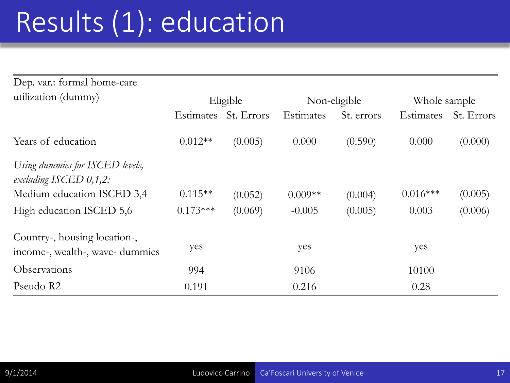## Results (1): education

| Dep. var.: formal home-care                                     |                  |            |           |              |                  |            |  |
|-----------------------------------------------------------------|------------------|------------|-----------|--------------|------------------|------------|--|
| utilization (dummy)                                             |                  | Eligible   |           | Non-eligible | Whole sample     |            |  |
|                                                                 | <b>Estimates</b> | St. Errors | Estimates | St. errors   | <b>Estimates</b> | St. Errors |  |
| Years of education                                              | $0.012**$        | (0.005)    | 0.000     | (0.590)      | 0.000            | (0.000)    |  |
| Using dummies for ISCED levels,<br>excluding ISCED $0,1,2$ :    |                  |            |           |              |                  |            |  |
| Medium education ISCED 3,4                                      | $0.115**$        | (0.052)    | $0.009**$ | (0.004)      | $0.016***$       | (0.005)    |  |
| High education ISCED 5,6                                        | $0.173***$       | (0.069)    | $-0.005$  | (0.005)      | 0.003            | (0.006)    |  |
| Country-, housing location-,<br>income-, wealth-, wave- dummies | yes              |            | yes       |              | yes              |            |  |
| Observations                                                    | 994              |            | 9106      |              | 10100            |            |  |
| Pseudo R2                                                       | 0.191            |            | 0.216     |              | 0.28             |            |  |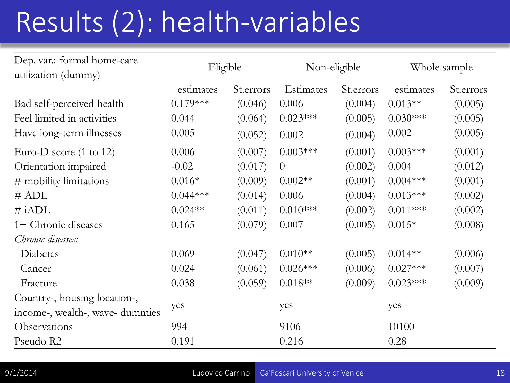## Results (2): health-variables

| Dep. var.: formal home-care<br>utilization (dummy) | Eligible   |            | Non-eligible   |            | Whole sample |            |
|----------------------------------------------------|------------|------------|----------------|------------|--------------|------------|
|                                                    | estimates  | St. errors | Estimates      | St. errors | estimates    | St. errors |
| Bad self-perceived health                          | $0.179***$ | (0.046)    | 0.006          | (0.004)    | $0.013**$    | (0.005)    |
| Feel limited in activities                         | 0.044      | (0.064)    | $0.023***$     | (0.005)    | $0.030***$   | (0.005)    |
| Have long-term illnesses                           | 0.005      | (0.052)    | 0.002          | (0.004)    | 0.002        | (0.005)    |
| Euro-D score $(1 \text{ to } 12)$                  | 0.006      | (0.007)    | $0.003***$     | (0.001)    | $0.003***$   | (0.001)    |
| Orientation impaired                               | $-0.02$    | (0.017)    | $\overline{0}$ | (0.002)    | 0.004        | (0.012)    |
| # mobility limitations                             | $0.016*$   | (0.009)    | $0.002**$      | (0.001)    | $0.004***$   | (0.001)    |
| # ADL                                              | $0.044***$ | (0.014)    | 0.006          | (0.004)    | $0.013***$   | (0.002)    |
| $\#$ iADL                                          | $0.024**$  | (0.011)    | $0.010***$     | (0.002)    | $0.011***$   | (0.002)    |
| 1+ Chronic diseases                                | 0.165      | (0.079)    | 0.007          | (0.005)    | $0.015*$     | (0.008)    |
| Chronic diseases:                                  |            |            |                |            |              |            |
| Diabetes                                           | 0.069      | (0.047)    | $0.010**$      | (0.005)    | $0.014**$    | (0.006)    |
| Cancer                                             | 0.024      | (0.061)    | $0.026***$     | (0.006)    | $0.027***$   | (0.007)    |
| Fracture                                           | 0.038      | (0.059)    | $0.018**$      | (0.009)    | $0.023***$   | (0.009)    |
| Country-, housing location-,                       |            |            |                |            |              |            |
| income-, wealth-, wave- dummies                    | yes        |            | yes            |            | yes          |            |
| Observations                                       | 994        |            | 9106           |            | 10100        |            |
| Pseudo R2                                          | 0.191      |            | 0.216          |            | 0.28         |            |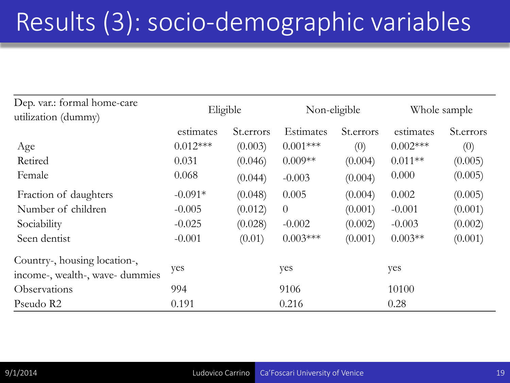## Results (3): socio-demographic variables

| Dep. var.: formal home-care<br>utilization (dummy)              | Eligible   |            | Non-eligible     |            | Whole sample |            |
|-----------------------------------------------------------------|------------|------------|------------------|------------|--------------|------------|
|                                                                 | estimates  | St. errors | <b>Estimates</b> | St. errors | estimates    | St. errors |
| Age                                                             | $0.012***$ | (0.003)    | $0.001***$       | (0)        | $0.002***$   | (0)        |
| Retired                                                         | 0.031      | (0.046)    | $0.009**$        | (0.004)    | $0.011**$    | (0.005)    |
| Female                                                          | 0.068      | (0.044)    | $-0.003$         | (0.004)    | 0.000        | (0.005)    |
| Fraction of daughters                                           | $-0.091*$  | (0.048)    | 0.005            | (0.004)    | 0.002        | (0.005)    |
| Number of children                                              | $-0.005$   | (0.012)    | $\overline{0}$   | (0.001)    | $-0.001$     | (0.001)    |
| Sociability                                                     | $-0.025$   | (0.028)    | $-0.002$         | (0.002)    | $-0.003$     | (0.002)    |
| Seen dentist                                                    | $-0.001$   | (0.01)     | $0.003***$       | (0.001)    | $0.003**$    | (0.001)    |
| Country-, housing location-,<br>income-, wealth-, wave- dummies | yes        |            | yes              |            | yes          |            |
| Observations                                                    | 994        |            | 9106             |            | 10100        |            |
| Pseudo R2                                                       | 0.191      |            | 0.216            |            | 0.28         |            |